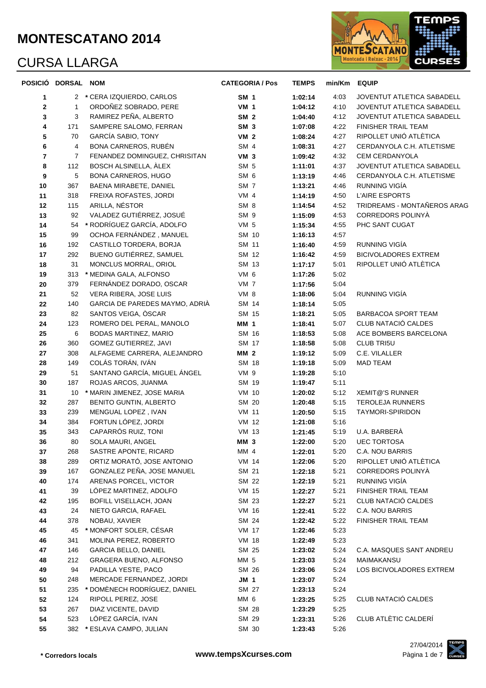

|                         | POSICIÓ DORSAL NOM |                                | <b>CATEGORIA / Pos</b> | <b>TEMPS</b> | min/Km EQUIP |                                   |
|-------------------------|--------------------|--------------------------------|------------------------|--------------|--------------|-----------------------------------|
| 1                       |                    | 2 * CERA IZQUIERDO, CARLOS     | <b>SM 1</b>            | 1:02:14      | 4:03         | JOVENTUT ATLETICA SABADELL        |
| $\mathbf 2$             | 1                  | ORDOÑEZ SOBRADO, PERE          | <b>VM 1</b>            | 1:04:12      | 4:10         | JOVENTUT ATLETICA SABADELL        |
| 3                       | 3                  | RAMIREZ PEÑA, ALBERTO          | SM <sub>2</sub>        | 1:04:40      | 4:12         | JOVENTUT ATLETICA SABADELL        |
| 4                       | 171                | SAMPERE SALOMO, FERRAN         | SM <sub>3</sub>        | 1:07:08      | 4:22         | FINISHER TRAIL TEAM               |
| 5                       | 70                 | GARCÍA SABIO, TONY             | VM <sub>2</sub>        | 1:08:24      | 4:27         | RIPOLLET UNIÓ ATLÈTICA            |
| 6                       | 4                  | BONA CARNEROS, RUBÉN           | SM 4                   | 1:08:31      | 4:27         | CERDANYOLA C.H. ATLETISME         |
| $\overline{\mathbf{r}}$ | 7                  | FENANDEZ DOMINGUEZ, CHRISITAN  | <b>VM 3</b>            | 1:09:42      | 4:32         | <b>CEM CERDANYOLA</b>             |
| 8                       | 112                | BOSCH ALSINELLA, ÀLEX          | SM <sub>5</sub>        | 1:11:01      | 4:37         | <b>JOVENTUT ATLETICA SABADELL</b> |
| 9                       | 5                  | <b>BONA CARNEROS, HUGO</b>     | SM <sub>6</sub>        | 1:13:19      | 4:46         | CERDANYOLA C.H. ATLETISME         |
| 10                      | 367                | BAENA MIRABETE, DANIEL         | SM <sub>7</sub>        | 1:13:21      | 4:46         | RUNNING VIGÍA                     |
| 11                      | 318                | FREIXA ROFASTES, JORDI         | VM 4                   | 1:14:19      | 4:50         | L'AIRE ESPORTS                    |
| 12                      | 115                | ARILLA, NÉSTOR                 | SM <sub>8</sub>        | 1:14:54      | 4:52         | TRIDREAMS - MONTAÑEROS ARAG       |
| 13                      | 92                 | VALADEZ GUTIÉRREZ, JOSUÉ       | SM <sub>9</sub>        | 1:15:09      | 4:53         | CORREDORS POLINYÀ                 |
| 14                      | 54                 | * RODRÍGUEZ GARCÍA, ADOLFO     | VM <sub>5</sub>        | 1:15:34      | 4:55         | PHC SANT CUGAT                    |
| 15                      | 99                 | OCHOA FERNÁNDEZ, MANUEL        | SM 10                  | 1:16:13      | 4:57         |                                   |
| 16                      | 192                | CASTILLO TORDERA, BORJA        | SM 11                  | 1:16:40      | 4:59         | RUNNING VIGÍA                     |
| 17                      | 292                | BUENO GUTIÉRREZ, SAMUEL        | SM 12                  | 1:16:42      | 4:59         | <b>BICIVOLADORES EXTREM</b>       |
| 18                      | 31                 | MONCLUS MORRAL, ORIOL          | SM 13                  | 1:17:17      | 5:01         | RIPOLLET UNIÓ ATLÈTICA            |
| 19                      | 313                | * MEDINA GALA, ALFONSO         | VM 6                   | 1:17:26      | 5:02         |                                   |
| 20                      | 379                | FERNÁNDEZ DORADO, OSCAR        | VM <sub>7</sub>        | 1:17:56      | 5:04         |                                   |
| 21                      | 52                 | VERA RIBERA, JOSE LUIS         | VM 8                   | 1:18:06      | 5:04         | RUNNING VIGÍA                     |
| 22                      | 140                | GARCIA DE PAREDES MAYMO, ADRIÀ | SM 14                  | 1:18:14      | 5:05         |                                   |
| 23                      | 82                 | SANTOS VEIGA, ÒSCAR            | SM 15                  | 1:18:21      | 5:05         | BARBACOA SPORT TEAM               |
| 24                      | 123                | ROMERO DEL PERAL, MANOLO       | <b>MM 1</b>            | 1:18:41      | 5:07         | CLUB NATACIÓ CALDES               |
| 25                      | 6                  | BODAS MARTINEZ, MARIO          | SM 16                  | 1:18:53      | 5:08         | ACE BOMBERS BARCELONA             |
| 26                      | 360                | GOMEZ GUTIERREZ, JAVI          | SM 17                  | 1:18:58      | 5:08         | <b>CLUB TRI5U</b>                 |
| 27                      | 308                | ALFAGEME CARRERA, ALEJANDRO    | <b>MM 2</b>            | 1:19:12      | 5:09         | C.E. VILALLER                     |
| 28                      | 149                | COLÁS TORÁN, IVÁN              | SM 18                  | 1:19:18      | 5:09         | MAD TEAM                          |
| 29                      | 51                 | SANTANO GARCÍA, MIGUEL ÁNGEL   | VM 9                   | 1:19:28      | 5:10         |                                   |
| 30                      | 187                | ROJAS ARCOS, JUANMA            | SM 19                  | 1:19:47      | 5:11         |                                   |
| 31                      | 10                 | * MARIN JIMENEZ, JOSE MARIA    | <b>VM 10</b>           | 1:20:02      | 5:12         | <b>XEMIT@'S RUNNER</b>            |
| 32                      | 287                | BENITO GUNTIN, ALBERTO         | SM 20                  | 1:20:48      | 5:15         | <b>TEROLEJA RUNNERS</b>           |
| 33                      | 239                | MENGUAL LOPEZ, IVAN            | VM 11                  | 1:20:50      | 5:15         | TAYMORI-SPIRIDON                  |
| 34                      | 384                | FORTUN LÓPEZ, JORDI            | VM 12                  | 1:21:08      | 5:16         |                                   |
| 35                      | 343                | CAPARRÓS RUIZ, TONI            | <b>VM 13</b>           | 1:21:45      | 5:19         | U.A. BARBERÀ                      |
| 36                      | 80                 | SOLA MAURI, ANGEL              | <b>MM 3</b>            | 1:22:00      | 5:20         | <b>UEC TORTOSA</b>                |
| 37                      | 268                | SASTRE APONTE, RICARD          | MM 4                   | 1:22:01      | 5:20         | C.A. NOU BARRIS                   |
| 38                      | 289                | ORTIZ MORATÓ, JOSE ANTONIO     | VM 14                  | 1:22:06      | 5:20         | RIPOLLET UNIÓ ATLÈTICA            |
| 39                      | 167                | GONZALEZ PEÑA, JOSE MANUEL     | SM 21                  | 1:22:18      | 5:21         | <b>CORREDORS POLINYA</b>          |
| 40                      | 174                | ARENAS PORCEL, VICTOR          | SM 22                  | 1:22:19      | 5:21         | RUNNING VIGÍA                     |
| 41                      | 39                 | LÓPEZ MARTINEZ, ADOLFO         | VM 15                  | 1:22:27      | 5:21         | FINISHER TRAIL TEAM               |
| 42                      | 195                | BOFILL VISELLACH, JOAN         | SM 23                  | 1:22:27      | 5:21         | CLUB NATACIÓ CALDES               |
| 43                      | 24                 | NIETO GARCIA, RAFAEL           | VM 16                  | 1:22:41      | 5:22         | C.A. NOU BARRIS                   |
| 44                      | 378                | NOBAU, XAVIER                  | SM 24                  | 1:22:42      | 5:22         | FINISHER TRAIL TEAM               |
| 45                      | 45                 | * MONFORT SOLER, CÉSAR         | VM 17                  | 1:22:46      | 5:23         |                                   |
| 46                      | 341                | MOLINA PEREZ, ROBERTO          | VM 18                  | 1:22:49      | 5:23         |                                   |
| 47                      | 146                | GARCIA BELLO, DANIEL           | SM 25                  | 1:23:02      | 5:24         | C.A. MASQUES SANT ANDREU          |
| 48                      | 212                | GRAGERA BUENO, ALFONSO         | MM 5                   | 1:23:03      | 5:24         | MAIMAKANSU                        |
| 49                      | 94                 | PADILLA YESTE, PACO            | SM 26                  | 1:23:06      | 5:24         | LOS BICIVOLADORES EXTREM          |
| 50                      | 248                | MERCADE FERNANDEZ, JORDI       | <b>JM 1</b>            | 1:23:07      | 5:24         |                                   |
| 51                      | 235                | * DOMÈNECH RODRÍGUEZ, DANIEL   | SM 27                  | 1:23:13      | 5:24         |                                   |
| 52                      | 124                | RIPOLL PEREZ, JOSE             | MM 6                   | 1:23:25      | 5:25         | CLUB NATACIÓ CALDES               |
| 53                      | 267                | DIAZ VICENTE, DAVID            | SM 28                  | 1:23:29      | 5:25         |                                   |
| 54                      | 523                | LÓPEZ GARCÍA, IVAN             | SM 29                  | 1:23:31      | 5:26         | CLUB ATLÈTIC CALDERÍ              |
| 55                      |                    | 382 * ESLAVA CAMPO, JULIAN     | SM 30                  | 1:23:43      | 5:26         |                                   |
|                         |                    |                                |                        |              |              |                                   |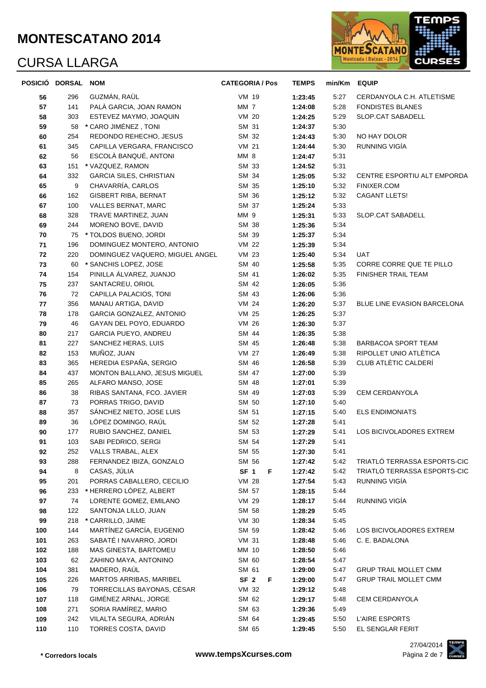# CURSA LLARGA



|          | POSICIÓ DORSAL NOM |                                                 | <b>CATEGORIA / Pos</b> | <b>TEMPS</b>       | min/Km EQUIP |                                    |
|----------|--------------------|-------------------------------------------------|------------------------|--------------------|--------------|------------------------------------|
| 56       | 296                | GUZMÁN, RAÜL                                    | VM 19                  | 1:23:45            | 5:27         | CERDANYOLA C.H. ATLETISME          |
| 57       | 141                | PALÀ GARCIA, JOAN RAMON                         | MM <sub>7</sub>        | 1:24:08            | 5:28         | <b>FONDISTES BLANES</b>            |
| 58       | 303                | ESTEVEZ MAYMO, JOAQUIN                          | <b>VM 20</b>           | 1:24:25            | 5:29         | SLOP.CAT SABADELL                  |
| 59       | 58                 | * CARO JIMÉNEZ, TONI                            | SM 31                  | 1:24:37            | 5:30         |                                    |
| 60       | 254                | REDONDO REHECHO, JESUS                          | SM 32                  | 1:24:43            | 5:30         | NO HAY DOLOR                       |
| 61       | 345                | CAPILLA VERGARA, FRANCISCO                      | <b>VM 21</b>           | 1:24:44            | 5:30         | RUNNING VIGÍA                      |
| 62       | 56                 | ESCOLÀ BANQUÉ, ANTONI                           | MM 8                   | 1:24:47            | 5:31         |                                    |
| 63       | 151                | * VAZQUEZ, RAMON                                | SM 33                  | 1:24:52            | 5:31         |                                    |
| 64       | 332                | <b>GARCIA SILES, CHRISTIAN</b>                  | SM 34                  | 1:25:05            | 5:32         | CENTRE ESPORTIU ALT EMPORDA        |
| 65       | 9                  | CHAVARRÍA, CARLOS                               | SM 35                  | 1:25:10            | 5:32         | FINIXER.COM                        |
| 66       | 162                | GISBERT RIBA, BERNAT                            | SM 36                  | 1:25:12            | 5:32         | <b>CAGANT LLETS!</b>               |
| 67       | 100                | VALLES BERNAT, MARC                             | SM 37                  | 1:25:24            | 5:33         |                                    |
| 68       | 328                | TRAVE MARTINEZ, JUAN                            | MM 9                   | 1:25:31            | 5:33         | SLOP.CAT SABADELL                  |
| 69       | 244                | MORENO BOVE, DAVID                              | SM 38                  | 1:25:36            | 5:34         |                                    |
| 70       | 75                 | * TOLDOS BUENO, JORDI                           | SM 39                  | 1:25:37            | 5:34         |                                    |
| 71       | 196                | DOMINGUEZ MONTERO, ANTONIO                      | VM 22                  | 1:25:39            | 5:34         |                                    |
| 72       | 220                | DOMINGUEZ VAQUERO, MIGUEL ANGEL                 | <b>VM 23</b>           | 1:25:40            | 5:34         | UAT                                |
| 73       | 60                 | * SANCHIS LOPEZ, JOSE                           | SM 40                  | 1:25:58            | 5:35         | CORRE CORRE QUE TE PILLO           |
| 74       | 154                | PINILLA ÁLVAREZ, JUANJO                         | SM 41                  | 1:26:02            | 5:35         | <b>FINISHER TRAIL TEAM</b>         |
| 75       | 237                | SANTACREU, ORIOL                                | SM 42                  | 1:26:05            | 5:36         |                                    |
| 76       | 72                 | CAPILLA PALACIOS, TONI                          | SM 43                  | 1:26:06            | 5:36         |                                    |
| 77       | 356                | MANAU ARTIGA, DAVID                             | VM 24                  | 1:26:20            | 5:37         | <b>BLUE LINE EVASION BARCELONA</b> |
| 78       | 178                | GARCIA GONZALEZ, ANTONIO                        | VM 25                  | 1:26:25            | 5:37         |                                    |
| 79       | 46                 | GAYAN DEL POYO, EDUARDO                         | VM 26                  | 1:26:30            | 5:37         |                                    |
| 80       | 217                | GARCIA PUEYO, ANDREU                            | SM 44                  | 1:26:35            | 5:38         |                                    |
| 81       | 227                | SANCHEZ HERAS, LUIS                             | SM 45                  | 1:26:48            | 5:38         | BARBACOA SPORT TEAM                |
| 82       | 153                | MUÑOZ, JUAN                                     | <b>VM 27</b>           | 1:26:49            | 5:38         | RIPOLLET UNIO ATLÈTICA             |
| 83       | 365                | HEREDIA ESPAÑA, SERGIO                          | SM 46                  | 1:26:58            | 5:39         | CLUB ATLÈTIC CALDERÍ               |
| 84       | 437                | MONTON BALLANO, JESUS MIGUEL                    | SM 47                  | 1:27:00            | 5:39         |                                    |
| 85       | 265                | ALFARO MANSO, JOSE                              | SM 48                  | 1:27:01            | 5:39         |                                    |
| 86       | 38                 | RIBAS SANTANA, FCO. JAVIER                      | SM 49                  | 1:27:03            | 5:39         | CEM CERDANYOLA                     |
| 87       | 73<br>357          | PORRAS TRIGO, DAVID<br>SÁNCHEZ NIETO, JOSE LUIS | SM 50<br>SM 51         | 1:27:10            | 5:40         | <b>ELS ENDIMONIATS</b>             |
| 88<br>89 | 36                 | LÓPEZ DOMINGO, RAÚL                             | SM 52                  | 1:27:15            | 5:40<br>5:41 |                                    |
| 90       | 177                | RUBIO SANCHEZ, DANIEL                           | SM 53                  | 1:27:28<br>1:27:29 | 5:41         | LOS BICIVOLADORES EXTREM           |
| 91       | 103                | SABI PEDRICO, SERGI                             | SM 54                  |                    | 5:41         |                                    |
| 92       | 252                | VALLS TRABAL, ALEX                              | SM 55                  | 1:27:29<br>1:27:30 | 5:41         |                                    |
| 93       | 288                | FERNANDEZ IBIZA, GONZALO                        | SM 56                  | 1:27:42            | 5:42         | TRIATLÓ TERRASSA ESPORTS-CIC       |
| 94       | 8                  | CASAS, JÚLIA                                    | SF <sub>1</sub><br>F   | 1:27:42            | 5:42         | TRIATLÓ TERRASSA ESPORTS-CIC       |
| 95       | 201                | PORRAS CABALLERO, CECILIO                       | <b>VM 28</b>           | 1:27:54            | 5:43         | RUNNING VIGÍA                      |
| 96       | 233                | * HERRERO LÓPEZ, ALBERT                         | SM 57                  | 1:28:15            | 5:44         |                                    |
| 97       | 74                 | LORENTE GOMEZ, EMILANO                          | VM 29                  | 1:28:17            | 5:44         | RUNNING VIGÍA                      |
| 98       | 122                | SANTONJA LILLO, JUAN                            | SM 58                  | 1:28:29            | 5:45         |                                    |
| 99       | 218                | * CARRILLO, JAIME                               | VM 30                  | 1:28:34            | 5:45         |                                    |
| 100      | 144                | MARTÍNEZ GARCÍA, EUGENIO                        | SM 59                  | 1:28:42            | 5:46         | LOS BICIVOLADORES EXTREM           |
| 101      | 263                | SABATÉ I NAVARRO, JORDI                         | VM 31                  | 1:28:48            | 5:46         | C. E. BADALONA                     |
| 102      | 188                | MAS GINESTA, BARTOMEU                           | MM 10                  | 1:28:50            | 5:46         |                                    |
| 103      | 62                 | ZAHINO MAYA, ANTONINO                           | SM 60                  | 1:28:54            | 5:47         |                                    |
| 104      | 381                | MADERO, RAÚL                                    | SM 61                  | 1:29:00            | 5:47         | <b>GRUP TRAIL MOLLET CMM</b>       |
| 105      | 226                | MARTOS ARRIBAS, MARIBEL                         | SF <sub>2</sub><br>F   | 1:29:00            | 5:47         | <b>GRUP TRAIL MOLLET CMM</b>       |
| 106      | 79                 | TORRECILLAS BAYONAS, CÉSAR                      | VM 32                  | 1:29:12            | 5:48         |                                    |
| 107      | 118                | GIMÉNEZ ARNAL, JORGE                            | SM 62                  | 1:29:17            | 5:48         | CEM CERDANYOLA                     |
| 108      | 271                | SORIA RAMÍREZ, MARIO                            | SM 63                  | 1:29:36            | 5:49         |                                    |
| 109      | 242                | VILALTA SEGURA, ADRIÁN                          | SM 64                  | 1:29:45            | 5:50         | L'AIRE ESPORTS                     |
| 110      | 110                | TORRES COSTA, DAVID                             | SM 65                  | 1:29:45            | 5:50         | EL SENGLAR FERIT                   |
|          |                    |                                                 |                        |                    |              |                                    |

27/04/2014

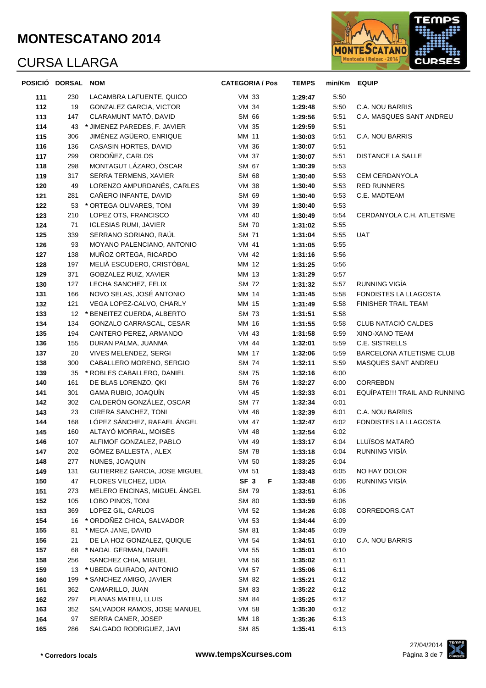

|            | POSICIÓ DORSAL NOM |                                                    | <b>CATEGORIA / Pos</b> | <b>TEMPS</b>       | min/Km EQUIP |                               |
|------------|--------------------|----------------------------------------------------|------------------------|--------------------|--------------|-------------------------------|
| 111        | 230                | LACAMBRA LAFUENTE, QUICO                           | VM 33                  | 1:29:47            | 5:50         |                               |
| 112        | 19                 | GONZALEZ GARCIA, VICTOR                            | VM 34                  | 1:29:48            | 5:50         | C.A. NOU BARRIS               |
| 113        | 147                | CLARAMUNT MATÓ, DAVID                              | SM 66                  | 1:29:56            | 5:51         | C.A. MASQUES SANT ANDREU      |
| 114        | 43                 | * JIMENEZ PAREDES, F. JAVIER                       | VM 35                  | 1:29:59            | 5:51         |                               |
| 115        | 306                | JIMÉNEZ AGÜERO, ENRIQUE                            | MM 11                  | 1:30:03            | 5:51         | C.A. NOU BARRIS               |
| 116        | 136                | CASASIN HORTES, DAVID                              | VM 36                  | 1:30:07            | 5:51         |                               |
| 117        | 299                | ORDOÑEZ, CARLOS                                    | VM 37                  | 1:30:07            | 5:51         | <b>DISTANCE LA SALLE</b>      |
| 118        | 298                | MONTAGUT LÁZARO, ÒSCAR                             | SM 67                  | 1:30:39            | 5:53         |                               |
| 119        | 317                | SERRA TERMENS, XAVIER                              | SM 68                  | 1:30:40            | 5:53         | CEM CERDANYOLA                |
| 120        | 49                 | LORENZO AMPURDANÉS, CARLES                         | VM 38                  | 1:30:40            | 5:53         | <b>RED RUNNERS</b>            |
| 121        | 281                | CAÑERO INFANTE, DAVID                              | SM 69                  | 1:30:40            | 5:53         | C.E. MADTEAM                  |
| 122        | 53                 | * ORTEGA OLIVARES, TONI                            | VM 39                  | 1:30:40            | 5:53         |                               |
| 123        | 210                | LOPEZ OTS, FRANCISCO                               | VM 40                  | 1:30:49            | 5:54         | CERDANYOLA C.H. ATLETISME     |
| 124        | 71                 | <b>IGLESIAS RUMI, JAVIER</b>                       | <b>SM 70</b>           | 1:31:02            | 5:55         |                               |
| 125        | 339                | SERRANO SORIANO, RAÚL                              | SM 71                  | 1:31:04            | 5:55         | <b>UAT</b>                    |
| 126        | 93                 | MOYANO PALENCIANO, ANTONIO                         | VM 41                  | 1:31:05            | 5:55         |                               |
| 127        | 138                | MUÑOZ ORTEGA, RICARDO                              | VM 42                  | 1:31:16            | 5:56         |                               |
| 128        | 197                | MELIÀ ESCUDERO, CRISTÓBAL                          | MM 12                  | 1:31:25            | 5:56         |                               |
| 129        | 371                | GOBZALEZ RUIZ, XAVIER                              | MM 13                  | 1:31:29            | 5:57         |                               |
| 130        | 127                | LECHA SANCHEZ, FELIX                               | SM 72                  | 1:31:32            | 5:57         | RUNNING VIGÍA                 |
| 131        | 166                | NOVO SELAS, JOSÉ ANTONIO                           | MM 14                  | 1:31:45            | 5:58         | FONDISTES LA LLAGOSTA         |
| 132        | 121                | VEGA LOPEZ-CALVO, CHARLY                           | MM 15                  | 1:31:49            | 5:58         | <b>FINISHER TRAIL TEAM</b>    |
| 133        | 12 <sup>2</sup>    | * BENEITEZ CUERDA, ALBERTO                         | SM 73                  | 1:31:51            | 5:58         |                               |
| 134        | 134                | GONZALO CARRASCAL, CESAR                           | MM 16                  | 1:31:55            | 5:58         | CLUB NATACIÓ CALDES           |
| 135        | 194                | CANTERO PEREZ, ARMANDO                             | VM 43                  | 1:31:58            | 5:59         | XINO-XANO TEAM                |
| 136        | 155                | DURAN PALMA, JUANMA                                | VM 44                  | 1:32:01            | 5:59         | C.E. SISTRELLS                |
| 137        | 20                 | VIVES MELENDEZ, SERGI                              | MM 17                  | 1:32:06            | 5:59         | BARCELONA ATLETISME CLUB      |
| 138        | 300                | CABALLERO MORENO, SERGIO                           | SM 74                  | 1:32:11            | 5:59         | MASQUES SANT ANDREU           |
| 139        | 35<br>161          | * ROBLES CABALLERO, DANIEL<br>DE BLAS LORENZO, QKI | SM 75<br>SM 76         | 1:32:16            | 6:00<br>6:00 | CORREBDN                      |
| 140<br>141 | 301                | GAMA RUBIO, JOAQUÍN                                | VM 45                  | 1:32:27<br>1:32:33 | 6:01         | EQUÍPATE!!! TRAIL AND RUNNING |
| 142        | 302                | CALDERÓN GONZÁLEZ, OSCAR                           | SM 77                  | 1:32:34            | 6:01         |                               |
| 143        | 23                 | CIRERA SANCHEZ, TONI                               | VM 46                  | 1:32:39            | 6:01         | C.A. NOU BARRIS               |
| 144        | 168                | LÓPEZ SÁNCHEZ, RAFAEL ÁNGEL                        | VM 47                  | 1:32:47            | 6:02         | FONDISTES LA LLAGOSTA         |
| 145        | 160                | ALTAYÓ MORRAL, MOISÈS                              | VM 48                  | 1:32:54            | 6:02         |                               |
| 146        | 107                | ALFIMOF GONZALEZ, PABLO                            | VM 49                  | 1:33:17            |              | 6:04 LLUÏSOS MATARÓ           |
| 147        | 202                | GOMEZ BALLESTA, ALEX                               | SM 78                  | 1:33:18            | 6:04         | RUNNING VIGÍA                 |
| 148        | 277                | NUNES, JOAQUIN                                     | VM 50                  | 1:33:25            | 6:04         |                               |
| 149        | 131                | GUTIERREZ GARCIA, JOSE MIGUEL                      | VM 51                  | 1:33:43            | 6:05         | NO HAY DOLOR                  |
| 150        | 47                 | FLORES VILCHEZ, LIDIA                              | SF <sub>3</sub><br>F   | 1:33:48            | 6:06         | RUNNING VIGÍA                 |
| 151        | 273                | MELERO ENCINAS, MIGUEL ANGEL                       | SM 79                  | 1:33:51            | 6:06         |                               |
| 152        | 105                | LOBO PINOS, TONI                                   | SM 80                  | 1:33:59            | 6:06         |                               |
| 153        | 369                | LOPEZ GIL, CARLOS                                  | VM 52                  | 1:34:26            | 6:08         | CORREDORS.CAT                 |
| 154        | 16                 | * ORDOÑEZ CHICA, SALVADOR                          | VM 53                  | 1:34:44            | 6:09         |                               |
| 155        |                    | 81 * MECA JANE, DAVID                              | SM 81                  | 1:34:45            | 6:09         |                               |
| 156        | 21                 | DE LA HOZ GONZALEZ, QUIQUE                         | VM 54                  | 1:34:51            | 6:10         | C.A. NOU BARRIS               |
| 157        |                    | 68 * NADAL GERMAN, DANIEL                          | VM 55                  | 1:35:01            | 6:10         |                               |
| 158        | 256                | SANCHEZ CHIA, MIGUEL                               | VM 56                  | 1:35:02            | 6:11         |                               |
| 159        |                    | 13 * UBEDA GUIRADO, ANTONIO                        | VM 57                  | 1:35:06            | 6:11         |                               |
| 160        | 199                | * SANCHEZ AMIGO, JAVIER                            | SM 82                  | 1:35:21            | 6:12         |                               |
| 161        | 362                | CAMARILLO, JUAN                                    | SM 83                  | 1:35:22            | 6:12         |                               |
| 162        | 297                | PLANAS MATEU, LLUIS                                | SM 84                  | 1:35:25            | 6:12         |                               |
| 163        | 352                | SALVADOR RAMOS, JOSE MANUEL                        | VM 58                  | 1:35:30            | 6:12         |                               |
| 164        | 97                 | SERRA CANER, JOSEP                                 | MM 18                  | 1:35:36            | 6:13         |                               |
| 165        | 286                | SALGADO RODRIGUEZ, JAVI                            | SM 85                  | 1:35:41            | 6:13         |                               |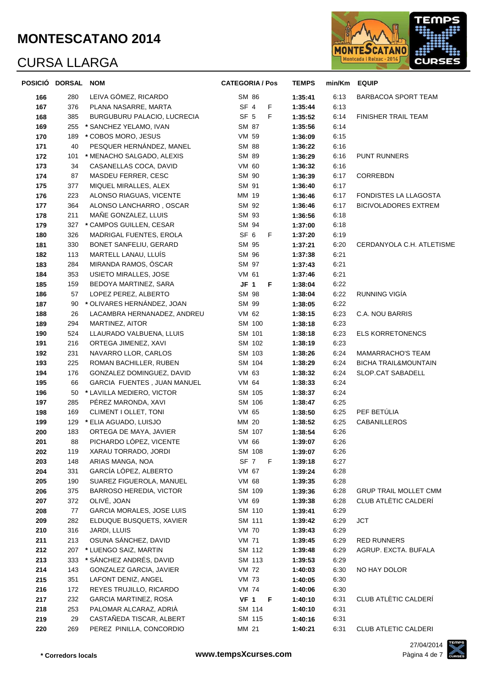

|            | POSICIÓ DORSAL NOM |                                               | <b>CATEGORIA / Pos</b> | <b>TEMPS</b>       | min/Km EQUIP |                                                      |
|------------|--------------------|-----------------------------------------------|------------------------|--------------------|--------------|------------------------------------------------------|
| 166        | 280                | LEIVA GÓMEZ, RICARDO                          | SM 86                  | 1:35:41            | 6:13         | BARBACOA SPORT TEAM                                  |
| 167        | 376                | PLANA NASARRE, MARTA                          | SF <sub>4</sub><br>F   | 1:35:44            | 6:13         |                                                      |
| 168        | 385                | BURGUBURU PALACIO, LUCRECIA                   | SF <sub>5</sub><br>F   | 1:35:52            | 6:14         | <b>FINISHER TRAIL TEAM</b>                           |
| 169        |                    | 255 * SANCHEZ YELAMO, IVAN                    | SM 87                  | 1:35:56            | 6:14         |                                                      |
| 170        | 189                | * COBOS MORO, JESUS                           | VM 59                  | 1:36:09            | 6:15         |                                                      |
| 171        | 40                 | PESQUER HERNÁNDEZ, MANEL                      | SM 88                  | 1:36:22            | 6:16         |                                                      |
| 172        | 101                | * MENACHO SALGADO, ALEXIS                     | SM 89                  | 1:36:29            | 6:16         | PUNT RUNNERS                                         |
| 173        | 34                 | CASANELLAS COCA, DAVID                        | VM 60                  | 1:36:32            | 6:16         |                                                      |
| 174        | 87                 | MASDEU FERRER, CESC                           | SM 90                  | 1:36:39            | 6:17         | CORREBDN                                             |
| 175        | 377                | MIQUEL MIRALLES, ALEX                         | SM 91                  | 1:36:40            | 6:17         |                                                      |
| 176        | 223                | ALONSO RIAGUAS, VICENTE                       | MM 19                  | 1:36:46            | 6:17         | FONDISTES LA LLAGOSTA                                |
| 177        | 364                | ALONSO LANCHARRO, OSCAR                       | SM 92                  | 1:36:46            | 6:17         | <b>BICIVOLADORES EXTREM</b>                          |
| 178        | 211                | MAÑE GONZALEZ, LLUIS                          | SM 93                  | 1:36:56            | 6:18         |                                                      |
| 179        | 327                | * CAMPOS GUILLEN, CESAR                       | SM 94                  | 1:37:00            | 6:18         |                                                      |
| 180        | 326                | MADRIGAL FUENTES, EROLA                       | SF <sub>6</sub><br>F.  | 1:37:20            | 6:19         |                                                      |
| 181        | 330                | BONET SANFELIU, GERARD                        | SM 95                  | 1:37:21            | 6:20         | CERDANYOLA C.H. ATLETISME                            |
| 182        | 113                | MARTELL LANAU, LLUIS                          | SM 96                  | 1:37:38            | 6:21         |                                                      |
| 183        | 284                | MIRANDA RAMOS, ÓSCAR                          | SM 97                  | 1:37:43            | 6:21         |                                                      |
| 184        | 353                | USIETO MIRALLES, JOSE                         | VM 61                  | 1:37:46            | 6:21         |                                                      |
| 185        | 159                | BEDOYA MARTINEZ, SARA                         | JF 1<br>F.             | 1:38:04            | 6:22         |                                                      |
| 186        | 57                 | LOPEZ PEREZ, ALBERTO                          | SM 98                  | 1:38:04            | 6:22         | RUNNING VIGÍA                                        |
| 187        | 90                 | * OLIVARES HERNÁNDEZ, JOAN                    | SM 99                  | 1:38:05            | 6:22         |                                                      |
| 188        | 26                 | LACAMBRA HERNANADEZ, ANDREU                   | VM 62                  | 1:38:15            | 6.23         | C.A. NOU BARRIS                                      |
| 189        | 294                | MARTINEZ, AITOR                               | SM 100                 | 1:38:18            | 6:23         |                                                      |
| 190        | 524                | LLAURADO VALBUENA, LLUIS                      | SM 101                 | 1:38:18            | 6:23         | <b>ELS KORRETONENCS</b>                              |
| 191        | 216                | ORTEGA JIMENEZ, XAVI                          | SM 102                 | 1:38:19            | 6:23         |                                                      |
| 192        | 231                | NAVARRO LLOR, CARLOS                          | SM 103                 | 1:38:26            | 6:24         | MAMARRACHO'S TEAM                                    |
| 193        | 225                | ROMAN BACHILLER, RUBEN                        | SM 104                 | 1:38:29            | 6:24         | <b>BICHA TRAIL&amp;MOUNTAIN</b>                      |
| 194        | 176                | GONZALEZ DOMINGUEZ, DAVID                     | VM 63                  | 1:38:32            | 6:24         | SLOP.CAT SABADELL                                    |
| 195        | 66                 | GARCIA FUENTES, JUAN MANUEL                   | VM 64                  | 1:38:33            | 6:24         |                                                      |
| 196        | 50                 | * LAVILLA MEDIERO, VICTOR                     | SM 105                 | 1:38:37            | 6:24         |                                                      |
| 197        | 285                | PÉREZ MARONDA, XAVI                           | SM 106                 | 1:38:47            | 6:25         |                                                      |
| 198        | 169                | CLIMENT I OLLET, TONI                         | VM 65                  | 1:38:50            | 6:25         | PEF BETÚLIA                                          |
| 199        | 129                | * ELIA AGUADO, LUISJO                         | MM 20                  | 1:38:52            | 6:25         | <b>CABANILLEROS</b>                                  |
| 200        | 183                | ORTEGA DE MAYA, JAVIER                        | SM 107                 | 1:38:54            | 6:26         |                                                      |
| 201        | 88                 | PICHARDO LÓPEZ, VICENTE                       | VM 66                  | 1:39:07            | 6:26         |                                                      |
| 202        | 119                | XARAU TORRADO, JORDI                          | SM 108                 | 1:39:07            | 6:26         |                                                      |
| 203        | 148                | ARIAS MANGA, NOA                              | SF 7 F                 | 1:39:18            | 6:27         |                                                      |
| 204        | 331                | GARCÍA LÓPEZ, ALBERTO                         | VM 67                  | 1:39:24            | 6:28         |                                                      |
| 205        | 190                | SUAREZ FIGUEROLA, MANUEL                      | VM 68<br>SM 109        | 1:39:35            | 6:28         |                                                      |
| 206<br>207 | 375<br>372         | <b>BARROSO HEREDIA, VICTOR</b><br>OLIVÉ, JOAN | VM 69                  | 1:39:36            | 6:28         | <b>GRUP TRAIL MOLLET CMM</b><br>CLUB ATLÈTIC CALDERÍ |
| 208        | 77                 | GARCIA MORALES, JOSE LUIS                     | SM 110                 | 1:39:38<br>1:39:41 | 6:28<br>6:29 |                                                      |
| 209        | 282                | ELDUQUE BUSQUETS, XAVIER                      | SM 111                 | 1:39:42            | 6:29         | <b>JCT</b>                                           |
| 210        | 316                | JARDI, LLUIS                                  | <b>VM 70</b>           | 1:39:43            | 6:29         |                                                      |
| 211        | 213                | OSUNA SÁNCHEZ, DAVID                          | <b>VM 71</b>           | 1:39:45            | 6:29         | <b>RED RUNNERS</b>                                   |
| 212        | 207                | * LUENGO SAIZ, MARTIN                         | SM 112                 | 1:39:48            | 6:29         | AGRUP. EXCTA. BUFALA                                 |
| 213        | 333                | * SÁNCHEZ ANDRÉS, DAVID                       | SM 113                 | 1:39:53            | 6:29         |                                                      |
| 214        | 143                | GONZALEZ GARCIA, JAVIER                       | <b>VM 72</b>           | 1:40:03            | 6:30         | NO HAY DOLOR                                         |
| 215        | 351                | LAFONT DENIZ, ANGEL                           | <b>VM 73</b>           | 1:40:05            | 6:30         |                                                      |
| 216        | 172                | REYES TRUJILLO, RICARDO                       | VM 74                  | 1:40:06            | 6:30         |                                                      |
| 217        | 232                | <b>GARCIA MARTINEZ, ROSA</b>                  | VF 1  F                | 1:40:10            | 6:31         | CLUB ATLÈTIC CALDERÍ                                 |
| 218        | 253                | PALOMAR ALCARAZ, ADRIA                        | SM 114                 | 1:40:10            | 6:31         |                                                      |
| 219        | 29                 | CASTAÑEDA TISCAR, ALBERT                      | SM 115                 | 1:40:16            | 6:31         |                                                      |
| 220        | 269                | PEREZ PINILLA, CONCORDIO                      | MM 21                  | 1:40:21            | 6:31         | <b>CLUB ATLETIC CALDERI</b>                          |
|            |                    |                                               |                        |                    |              |                                                      |

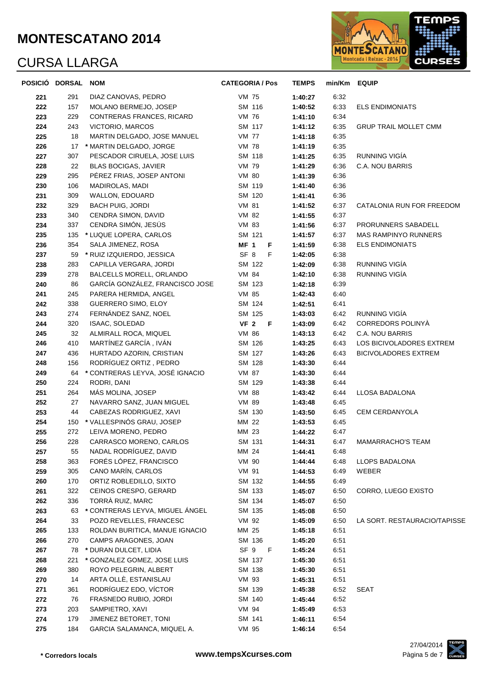

|            | POSICIÓ DORSAL NOM |                                              | <b>CATEGORIA / Pos</b> | <b>TEMPS</b>       | min/Km EQUIP |                              |
|------------|--------------------|----------------------------------------------|------------------------|--------------------|--------------|------------------------------|
| 221        | 291                | DIAZ CANOVAS, PEDRO                          | <b>VM 75</b>           | 1:40:27            | 6:32         |                              |
| 222        | 157                | MOLANO BERMEJO, JOSEP                        | SM 116                 | 1:40:52            | 6:33         | <b>ELS ENDIMONIATS</b>       |
| 223        | 229                | CONTRERAS FRANCES, RICARD                    | VM 76                  | 1:41:10            | 6:34         |                              |
| 224        | 243                | VICTORIO, MARCOS                             | SM 117                 | 1:41:12            | 6:35         | <b>GRUP TRAIL MOLLET CMM</b> |
| 225        | 18                 | MARTIN DELGADO, JOSE MANUEL                  | <b>VM 77</b>           | 1:41:18            | 6:35         |                              |
| 226        | 17                 | * MARTIN DELGADO, JORGE                      | <b>VM 78</b>           | 1:41:19            | 6:35         |                              |
| 227        | 307                | PESCADOR CIRUELA, JOSE LUIS                  | SM 118                 | 1:41:25            | 6:35         | RUNNING VIGÍA                |
| 228        | 22                 | <b>BLAS BOCIGAS, JAVIER</b>                  | <b>VM 79</b>           | 1:41:29            | 6:36         | C.A. NOU BARRIS              |
| 229        | 295                | PEREZ FRIAS, JOSEP ANTONI                    | VM 80                  | 1:41:39            | 6:36         |                              |
| 230        | 106                | <b>MADIROLAS, MADI</b>                       | SM 119                 | 1:41:40            | 6:36         |                              |
| 231        | 309                | WALLON, EDOUARD                              | SM 120                 | 1:41:41            | 6:36         |                              |
| 232        | 329                | <b>BACH PUIG, JORDI</b>                      | VM 81                  | 1:41:52            | 6:37         | CATALONIA RUN FOR FREEDOM    |
| 233        | 340                | CENDRA SIMON, DAVID                          | VM 82                  | 1:41:55            | 6:37         |                              |
| 234        | 337                | CENDRA SIMÓN, JESÚS                          | VM 83                  | 1:41:56            | 6:37         | PRORUNNERS SABADELL          |
| 235        | 135                | * LUQUE LOPERA, CARLOS                       | SM 121                 | 1:41:57            | 6:37         | <b>MAS RAMPINYO RUNNERS</b>  |
| 236        | 354                | SALA JIMENEZ, ROSA                           | <b>MF 1 F</b>          | 1:41:59            | 6:38         | <b>ELS ENDIMONIATS</b>       |
| 237        | 59                 | * RUIZ IZQUIERDO, JESSICA                    | SF 8<br>F              | 1:42:05            | 6:38         |                              |
| 238        | 283                | CAPILLA VERGARA, JORDI                       | SM 122                 | 1:42:09            | 6:38         | RUNNING VIGÍA                |
| 239        | 278                | BALCELLS MORELL, ORLANDO                     | VM 84                  | 1:42:10            | 6:38         | RUNNING VIGÍA                |
| 240        | 86                 | GARCÍA GONZÁLEZ, FRANCISCO JOSE              | SM 123                 | 1:42:18            | 6:39         |                              |
| 241        | 245                | PARERA HERMIDA, ANGEL                        | VM 85                  | 1:42:43            | 6:40         |                              |
| 242        | 338                | GUERRERO SIMO, ELOY                          | SM 124                 | 1:42:51            | 6:41         |                              |
| 243        | 274                | FERNÁNDEZ SANZ, NOEL                         | SM 125                 | 1:43:03            | 6:42         | RUNNING VIGÍA                |
| 244        | 320                | ISAAC, SOLEDAD                               | VF 2  F                | 1:43:09            | 6:42         | CORREDORS POLINYÀ            |
| 245        | 32                 | ALMIRALL ROCA, MIQUEL                        | VM 86                  | 1:43:13            | 6:42         | C.A. NOU BARRIS              |
| 246        | 410                | MARTÍNEZ GARCÍA, IVÁN                        | SM 126                 | 1:43:25            | 6:43         | LOS BICIVOLADORES EXTREM     |
| 247        | 436                | HURTADO AZORIN, CRISTIAN                     | SM 127                 | 1:43:26            | 6:43         | <b>BICIVOLADORES EXTREM</b>  |
| 248        | 156                | RODRÍGUEZ ORTIZ, PEDRO                       | SM 128                 | 1:43:30            | 6:44         |                              |
| 249        | 64                 | * CONTRERAS LEYVA, JOSÉ IGNACIO              | VM 87                  | 1:43:30            | 6:44         |                              |
| 250        | 224                | RODRI, DANI                                  | SM 129                 | 1:43:38            | 6:44         |                              |
| 251        | 264                | MÁS MOLINA, JOSEP                            | <b>VM 88</b>           | 1:43:42            | 6:44         | LLOSA BADALONA               |
| 252        | 27                 | NAVARRO SANZ, JUAN MIGUEL                    | VM 89                  | 1:43:48            | 6:45         |                              |
| 253        | 44                 | CABEZAS RODRIGUEZ, XAVI                      | SM 130                 | 1:43:50            | 6:45         | CEM CERDANYOLA               |
| 254        | 150                | * VALLESPINÓS GRAU, JOSEP                    | MM 22                  | 1:43:53            | 6:45         |                              |
| 255        | 272                | LEIVA MORENO, PEDRO                          | MM 23                  | 1:44:22            | 6:47         |                              |
| 256        | 228                | CARRASCO MORENO, CARLOS                      | SM 131                 | 1:44:31            | 6:47         | MAMARRACHO'S TEAM            |
| 257        | 55                 | NADAL RODRÍGUEZ, DAVID                       | MM 24                  | 1:44:41            | 6:48         |                              |
| 258        | 363<br>305         | FORÉS LÓPEZ, FRANCISCO<br>CANO MARÍN, CARLOS | VM 90                  | 1:44:44            | 6:48         | LLOPS BADALONA               |
| 259<br>260 | 170                | ORTIZ ROBLEDILLO, SIXTO                      | VM 91<br>SM 132        | 1:44:53            | 6:49<br>6:49 | WEBER                        |
| 261        | 322                | CEINOS CRESPO, GERARD                        |                        | 1:44:55            | 6:50         |                              |
| 262        | 336                | TORRÀ RUIZ, MARC                             | SM 133<br>SM 134       | 1:45:07<br>1:45:07 | 6:50         | CORRO, LUEGO EXISTO          |
| 263        | 63                 | * CONTRERAS LEYVA, MIGUEL ÁNGEL              | SM 135                 | 1:45:08            | 6:50         |                              |
| 264        | 33                 | POZO REVELLES, FRANCESC                      | VM 92                  | 1:45:09            | 6:50         | LA SORT. RESTAURACIO/TAPISSE |
| 265        | 133                | ROLDAN BURITICA, MANUE IGNACIO               | MM 25                  | 1:45:18            | 6:51         |                              |
| 266        | 270                | CAMPS ARAGONES, JOAN                         | SM 136                 | 1:45:20            | 6:51         |                              |
| 267        | 78                 | * DURAN DULCET, LIDIA                        | SF 9 F                 | 1:45:24            | 6:51         |                              |
| 268        | 221                | * GONZALEZ GOMEZ, JOSE LUIS                  | SM 137                 | 1:45:30            | 6:51         |                              |
| 269        | 380                | ROYO PELEGRIN, ALBERT                        | SM 138                 | 1:45:30            | 6:51         |                              |
| 270        | 14                 | ARTA OLLÈ, ESTANISLAU                        | VM 93                  | 1:45:31            | 6:51         |                              |
| 271        | 361                | RODRÍGUEZ EDO, VÍCTOR                        | SM 139                 | 1:45:38            | 6:52         | <b>SEAT</b>                  |
| 272        | 76                 | FRASNEDO RUBIO, JORDI                        | SM 140                 | 1:45:44            | 6:52         |                              |
| 273        | 203                | SAMPIETRO, XAVI                              | VM 94                  | 1:45:49            | 6:53         |                              |
| 274        | 179                | JIMENEZ BETORET, TONI                        | SM 141                 | 1:46:11            | 6:54         |                              |
| 275        | 184                | GARCIA SALAMANCA, MIQUEL A.                  | VM 95                  | 1:46:14            | 6:54         |                              |
|            |                    |                                              |                        |                    |              |                              |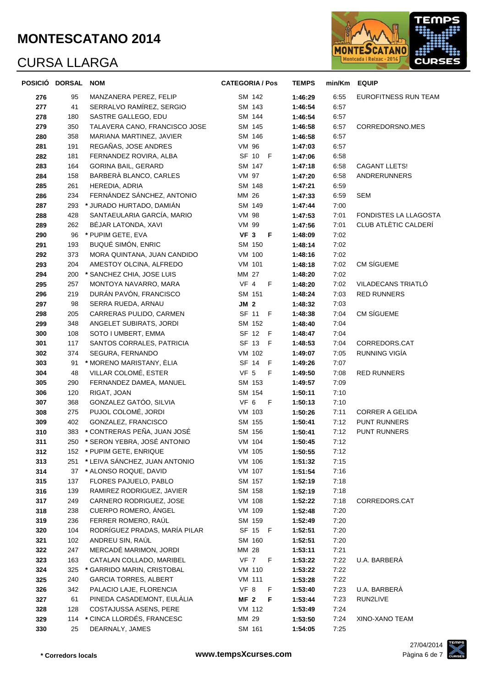

|            | POSICIÓ DORSAL | <b>NOM</b>                                  | <b>CATEGORIA / Pos</b>         | <b>TEMPS</b>       | min/Km EQUIP |                        |
|------------|----------------|---------------------------------------------|--------------------------------|--------------------|--------------|------------------------|
| 276        | 95             | MANZANERA PEREZ, FELIP                      | SM 142                         | 1:46:29            | 6:55         | EUROFITNESS RUN TEAM   |
| 277        | 41             | SERRALVO RAMÍREZ, SERGIO                    | SM 143                         | 1:46:54            | 6:57         |                        |
| 278        | 180            | SASTRE GALLEGO, EDU                         | SM 144                         | 1:46:54            | 6:57         |                        |
| 279        | 350            | TALAVERA CANO, FRANCISCO JOSE               | SM 145                         | 1:46:58            | 6:57         | CORREDORSNO.MES        |
| 280        | 358            | MARIANA MARTINEZ, JAVIER                    | SM 146                         | 1:46:58            | 6:57         |                        |
| 281        | 191            | REGAÑAS, JOSE ANDRES                        | VM 96                          | 1:47:03            | 6:57         |                        |
| 282        | 181            | FERNANDEZ ROVIRA, ALBA                      | SF 10 F                        | 1:47:06            | 6:58         |                        |
| 283        | 164            | <b>GORINA BAIL, GERARD</b>                  | SM 147                         | 1:47:18            | 6:58         | CAGANT LLETS!          |
| 284        | 158            | BARBERÀ BLANCO, CARLES                      | <b>VM 97</b>                   | 1:47:20            | 6:58         | ANDRERUNNERS           |
| 285        | 261            | HEREDIA, ADRIA                              | SM 148                         | 1:47:21            | 6:59         |                        |
| 286        | 234            | FERNÁNDEZ SÁNCHEZ, ANTONIO                  | MM 26                          | 1:47:33            | 6:59         | <b>SEM</b>             |
| 287        | 293            | * JURADO HURTADO, DAMIÁN                    | SM 149                         | 1:47:44            | 7:00         |                        |
| 288        | 428            | SANTAEULARIA GARCÍA, MARIO                  | VM 98                          | 1:47:53            | 7:01         | FONDISTES LA LLAGOSTA  |
| 289        | 262            | BÉJAR LATONDA, XAVI                         | VM 99                          | 1:47:56            | 7:01         | CLUB ATLÈTIC CALDERÍ   |
| 290        | 96             | * PUPIM GETE, EVA                           | VF <sub>3</sub><br>F           | 1:48:09            | 7:02         |                        |
| 291        | 193            | BUQUÉ SIMÓN, ENRIC                          | SM 150                         | 1:48:14            | 7:02         |                        |
| 292        | 373            | MORA QUINTANA, JUAN CANDIDO                 | VM 100                         | 1:48:16            | 7:02         |                        |
| 293        | 204            | AMESTOY OLCINA, ALFREDO                     | VM 101                         | 1:48:18            | 7:02         | CM SÍGUEME             |
| 294        | 200            | * SANCHEZ CHIA, JOSE LUIS                   | MM 27                          | 1:48:20            | 7:02         |                        |
| 295        | 257            | MONTOYA NAVARRO, MARA                       | VF 4<br>F                      | 1:48:20            | 7:02         | VILADECANS TRIATLÓ     |
| 296        | 219            | DURÁN PAVÓN, FRANCISCO                      | SM 151                         | 1:48:24            | 7:03         | <b>RED RUNNERS</b>     |
| 297        | 98             | SERRA RUEDA, ARNAU                          | <b>JM 2</b>                    | 1:48:32            | 7:03         |                        |
| 298        | 205            | CARRERAS PULIDO, CARMEN                     | SF 11 F                        | 1:48:38            | 7:04         | CM SÍGUEME             |
| 299        | 348            | ANGELET SUBIRATS, JORDI                     | SM 152                         | 1:48:40            | 7:04         |                        |
| 300        | 108            | SOTO I UMBERT, EMMA                         | SF 12 F                        | 1:48:47            | 7:04         |                        |
| 301        | 117            | SANTOS CORRALES, PATRICIA                   | SF 13 F                        | 1:48:53            | 7:04         | CORREDORS.CAT          |
| 302        | 374            | SEGURA, FERNANDO                            | VM 102                         | 1:49:07            | 7:05         | RUNNING VIGÍA          |
| 303        | 91             | * MORENO MARISTANY, ÈLIA                    | SF 14 F                        | 1:49:26            | 7:07         |                        |
| 304        | 48             | VILLAR COLOMÉ, ESTER                        | VF <sub>5</sub><br>F           | 1:49:50            | 7:08         | <b>RED RUNNERS</b>     |
| 305        | 290            | FERNANDEZ DAMEA, MANUEL                     | SM 153                         | 1:49:57            | 7:09         |                        |
| 306        | 120            | RIGAT, JOAN                                 | SM 154                         | 1:50:11            | 7:10         |                        |
| 307        | 368            | GONZALEZ GATÓO, SILVIA                      | VF <sub>6</sub><br>$\mathsf F$ | 1:50:13            | 7:10         |                        |
| 308        | 275            | PUJOL COLOMÉ, JORDI                         | VM 103                         | 1:50:26            | 7:11         | <b>CORRER A GELIDA</b> |
| 309        | 402            | GONZALEZ, FRANCISCO                         | SM 155                         | 1:50:41            | 7:12         | PUNT RUNNERS           |
| 310        | 383            | * CONTRERAS PEÑA, JUAN JOSÉ                 | SM 156                         | 1:50:41            | 7:12         | <b>PUNT RUNNERS</b>    |
| 311        |                | 250 * SERON YEBRA, JOSÉ ANTONIO             | VM 104                         | 1:50:45            | 7:12         |                        |
| 312        |                | 152 * PUPIM GETE, ENRIQUE                   | VM 105                         | 1:50:55            | 7:12         |                        |
| 313        | 251            | * LEIVA SÁNCHEZ, JUAN ANTONIO               | VM 106                         | 1:51:32            | 7:15         |                        |
| 314        |                | 37 * ALONSO ROQUE, DAVID                    | VM 107                         | 1:51:54            | 7:16         |                        |
| 315        | 137            | FLORES PAJUELO, PABLO                       | SM 157                         | 1:52:19            | 7:18         |                        |
| 316        | 139            | RAMIREZ RODRIGUEZ, JAVIER                   | SM 158                         | 1:52:19            | 7:18         |                        |
| 317        | 249            | CARNERO RODRIGUEZ, JOSE                     | VM 108                         | 1:52:22            | 7:18         | CORREDORS.CAT          |
| 318        | 238            | CUERPO ROMERO, ÁNGEL<br>FERRER ROMERO, RAÚL | VM 109<br>SM 159               | 1:52:48            | 7:20         |                        |
| 319        | 236<br>104     | RODRÍGUEZ PRADAS, MARÍA PILAR               | SF 15 F                        | 1:52:49            | 7:20<br>7:20 |                        |
| 320<br>321 | 102            | ANDREU SIN, RAÚL                            | SM 160                         | 1:52:51<br>1:52:51 | 7:20         |                        |
| 322        | 247            | MERCADÉ MARIMON, JORDI                      | MM 28                          | 1:53:11            | 7:21         |                        |
| 323        | 163            | CATALAN COLLADO, MARIBEL                    | VF 7 F                         | 1:53:22            | 7:22         | U.A. BARBERA           |
| 324        | 325            | * GARRIDO MARIN, CRISTOBAL                  | VM 110                         | 1:53:22            | 7:22         |                        |
| 325        | 240            | <b>GARCIA TORRES, ALBERT</b>                | VM 111                         | 1:53:28            | 7:22         |                        |
| 326        | 342            | PALACIO LAJE, FLORENCIA                     | F<br>VF 8                      | 1:53:40            | 7:23         | U.A. BARBERA           |
| 327        | 61             | PINEDA CASADEMONT, EULALIA                  | F<br>MF <sub>2</sub>           | 1:53:44            | 7:23         | RUN2LIVE               |
| 328        | 128            | COSTAJUSSA ASENS, PERE                      | VM 112                         | 1:53:49            | 7:24         |                        |
| 329        |                | 114 * CINCA LLORDÉS, FRANCESC               | MM 29                          | 1:53:50            | 7:24         | XINO-XANO TEAM         |
| 330        | 25             | DEARNALY, JAMES                             | SM 161                         | 1:54:05            | 7:25         |                        |
|            |                |                                             |                                |                    |              |                        |